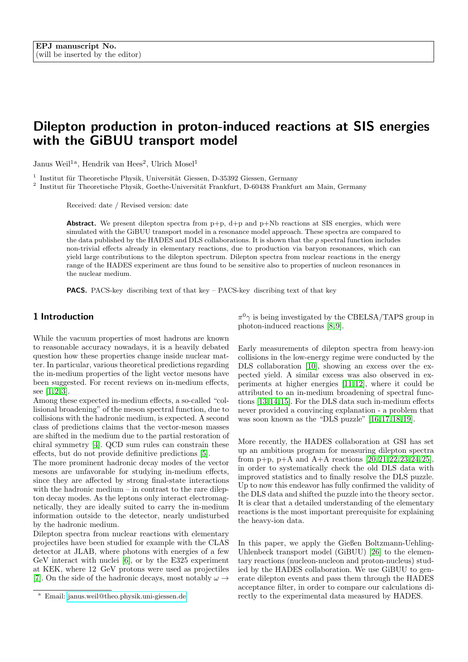# Dilepton production in proton-induced reactions at SIS energies with the GiBUU transport model

Janus Weil<sup>1a</sup>, Hendrik van Hees<sup>2</sup>, Ulrich Mosel<sup>1</sup>

<sup>1</sup> Institut für Theoretische Physik, Universität Giessen, D-35392 Giessen, Germany

<sup>2</sup> Institut für Theoretische Physik, Goethe-Universität Frankfurt, D-60438 Frankfurt am Main, Germany

Received: date / Revised version: date

**Abstract.** We present dilepton spectra from  $p+p$ ,  $d+p$  and  $p+Nb$  reactions at SIS energies, which were simulated with the GiBUU transport model in a resonance model approach. These spectra are compared to the data published by the HADES and DLS collaborations. It is shown that the  $\rho$  spectral function includes non-trivial effects already in elementary reactions, due to production via baryon resonances, which can yield large contributions to the dilepton spectrum. Dilepton spectra from nuclear reactions in the energy range of the HADES experiment are thus found to be sensitive also to properties of nucleon resonances in the nuclear medium.

PACS. PACS-key discribing text of that key – PACS-key discribing text of that key

## 1 Introduction

While the vacuum properties of most hadrons are known to reasonable accuracy nowadays, it is a heavily debated question how these properties change inside nuclear matter. In particular, various theoretical predictions regarding the in-medium properties of the light vector mesons have been suggested. For recent reviews on in-medium effects, see  $[1, 2, 3]$  $[1, 2, 3]$  $[1, 2, 3]$ .

Among these expected in-medium effects, a so-called "collisional broadening" of the meson spectral function, due to collisions with the hadronic medium, is expected. A second class of predictions claims that the vector-meson masses are shifted in the medium due to the partial restoration of chiral symmetry [\[4\]](#page-14-3). QCD sum rules can constrain these effects, but do not provide definitive predictions [\[5\]](#page-14-4).

The more prominent hadronic decay modes of the vector mesons are unfavorable for studying in-medium effects, since they are affected by strong final-state interactions with the hadronic medium – in contrast to the rare dilepton decay modes. As the leptons only interact electromagnetically, they are ideally suited to carry the in-medium information outside to the detector, nearly undisturbed by the hadronic medium.

Dilepton spectra from nuclear reactions with elementary projectiles have been studied for example with the CLAS detector at JLAB, where photons with energies of a few GeV interact with nuclei [\[6\]](#page-14-5), or by the E325 experiment at KEK, where 12 GeV protons were used as projectiles [\[7\]](#page-14-6). On the side of the hadronic decays, most notably  $\omega \rightarrow$ 

 $\pi^0\gamma$  is being investigated by the CBELSA/TAPS group in photon-induced reactions [\[8,](#page-14-7)[9\]](#page-14-8).

Early measurements of dilepton spectra from heavy-ion collisions in the low-energy regime were conducted by the DLS collaboration [\[10\]](#page-14-9), showing an excess over the expected yield. A similar excess was also observed in experiments at higher energies [\[11,](#page-14-10) [12\]](#page-14-11), where it could be attributed to an in-medium broadening of spectral functions [\[13,](#page-14-12) [14,](#page-14-13) [15\]](#page-14-14). For the DLS data such in-medium effects never provided a convincing explanation - a problem that was soon known as the "DLS puzzle" [\[16,](#page-14-15) [17,](#page-16-0) [18,](#page-16-1) [19\]](#page-16-2).

More recently, the HADES collaboration at GSI has set up an ambitious program for measuring dilepton spectra from p+p, p+A and A+A reactions  $[20, 21, 22, 23, 24, 25]$  $[20, 21, 22, 23, 24, 25]$  $[20, 21, 22, 23, 24, 25]$  $[20, 21, 22, 23, 24, 25]$  $[20, 21, 22, 23, 24, 25]$  $[20, 21, 22, 23, 24, 25]$ , in order to systematically check the old DLS data with improved statistics and to finally resolve the DLS puzzle. Up to now this endeavor has fully confirmed the validity of the DLS data and shifted the puzzle into the theory sector. It is clear that a detailed understanding of the elementary reactions is the most important prerequisite for explaining the heavy-ion data.

In this paper, we apply the Gießen Boltzmann-Uehling-Uhlenbeck transport model (GiBUU) [\[26\]](#page-16-9) to the elementary reactions (nucleon-nucleon and proton-nucleus) studied by the HADES collaboration. We use GiBUU to generate dilepton events and pass them through the HADES acceptance filter, in order to compare our calculations directly to the experimental data measured by HADES.

<sup>a</sup> Email: [janus.weil@theo.physik.uni-giessen.de](mailto:janus.weil@theo.physik.uni-giessen.de)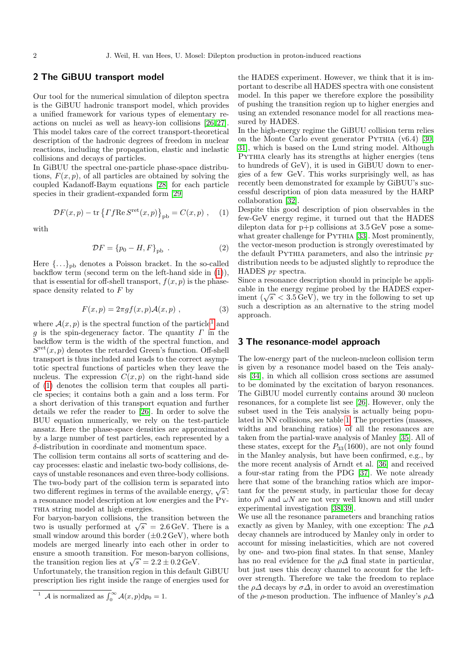## 2 The GiBUU transport model

Our tool for the numerical simulation of dilepton spectra is the GiBUU hadronic transport model, which provides a unified framework for various types of elementary reactions on nuclei as well as heavy-ion collisions [\[26,](#page-16-9) [27\]](#page-16-10). This model takes care of the correct transport-theoretical description of the hadronic degrees of freedom in nuclear reactions, including the propagation, elastic and inelastic collisions and decays of particles.

In GiBUU the spectral one-particle phase-space distributions,  $F(x, p)$ , of all particles are obtained by solving the coupled Kadanoff-Baym equations [\[28\]](#page-16-11) for each particle species in their gradient-expanded form [\[29\]](#page-16-12)

<span id="page-1-0"></span>
$$
\mathcal{D}F(x,p) - \text{tr}\left\{Tf\text{Re}\,S^{\text{ret}}(x,p)\right\}_{\text{pb}} = C(x,p) , \quad (1)
$$

with

$$
\mathcal{D}F = \{p_0 - H, F\}_{\text{pb}} \tag{2}
$$

Here  $\{\ldots\}_{\rm pb}$  denotes a Poisson bracket. In the so-called backflow term (second term on the left-hand side in [\(1\)](#page-1-0)), that is essential for off-shell transport,  $f(x, p)$  is the phasespace density related to F by

$$
F(x,p) = 2\pi gf(x,p) \mathcal{A}(x,p) , \qquad (3)
$$

where  $\mathcal{A}(x, p)$  is the spectral function of the particle<sup>[1](#page-1-1)</sup> and g is the spin-degeneracy factor. The quantity  $\Gamma$  in the backflow term is the width of the spectral function, and  $S^{\text{ret}}(x, p)$  denotes the retarded Green's function. Off-shell transport is thus included and leads to the correct asymptotic spectral functions of particles when they leave the nucleus. The expression  $C(x, p)$  on the right-hand side of [\(1\)](#page-1-0) denotes the collision term that couples all particle species; it contains both a gain and a loss term. For a short derivation of this transport equation and further details we refer the reader to [\[26\]](#page-16-9). In order to solve the BUU equation numerically, we rely on the test-particle ansatz. Here the phase-space densities are approximated by a large number of test particles, each represented by a δ-distribution in coordinate and momentum space.

The collision term contains all sorts of scattering and decay processes: elastic and inelastic two-body collisions, decays of unstable resonances and even three-body collisions. The two-body part of the collision term is separated into The two-body part of the comsion term is separated into<br>two different regimes in terms of the available energy,  $\sqrt{s}$ : a resonance model description at low energies and the Py-THIA string model at high energies.

For baryon-baryon collisions, the transition between the For baryon-baryon comsions, the transition between the two is usually performed at  $\sqrt{s}$  = 2.6 GeV. There is a small window around this border  $(\pm 0.2 \,\text{GeV})$ , where both models are merged linearly into each other in order to ensure a smooth transition. For meson-baryon collisions, the transition region lies at  $\sqrt{s} = 2.2 \pm 0.2 \,\text{GeV}$ .

Unfortunately, the transition region in this default GiBUU prescription lies right inside the range of energies used for the HADES experiment. However, we think that it is important to describe all HADES spectra with one consistent model. In this paper we therefore explore the possibility of pushing the transition region up to higher energies and using an extended resonance model for all reactions measured by HADES.

In the high-energy regime the GiBUU collision term relies on the Monte Carlo event generator Pythia (v6.4) [\[30,](#page-16-13) [31\]](#page-16-14), which is based on the Lund string model. Although Pythia clearly has its strengths at higher energies (tens to hundreds of GeV), it is used in GiBUU down to energies of a few GeV. This works surprisingly well, as has recently been demonstrated for example by GiBUU's successful description of pion data measured by the HARP collaboration [\[32\]](#page-16-15).

Despite this good description of pion observables in the few-GeV energy regime, it turned out that the HADES dilepton data for  $p+p$  collisions at  $3.5 \,\text{GeV}$  pose a some-what greater challenge for PYTHIA [\[33\]](#page-16-16). Most prominently, the vector-meson production is strongly overestimated by the default PYTHIA parameters, and also the intrinsic  $p_T$ distribution needs to be adjusted slightly to reproduce the HADES  $p_T$  spectra.

Since a resonance description should in principle be applicable in the energy regime probed by the HADES expercable in the energy regime probed by the **HADES** experiment ( $\sqrt{s}$  < 3.5 GeV), we try in the following to set up such a description as an alternative to the string model approach.

#### <span id="page-1-2"></span>3 The resonance-model approach

The low-energy part of the nucleon-nucleon collision term is given by a resonance model based on the Teis analysis [\[34\]](#page-16-17), in which all collision cross sections are assumed to be dominated by the excitation of baryon resonances. The GiBUU model currently contains around 30 nucleon resonances, for a complete list see [\[26\]](#page-16-9). However, only the subset used in the Teis analysis is actually being populated in NN collisions, see table [1.](#page-2-0) The properties (masses, widths and branching ratios) of all the resonances are taken from the partial-wave analysis of Manley [\[35\]](#page-16-18). All of these states, except for the  $P_{33}(1600)$ , are not only found in the Manley analysis, but have been confirmed, e.g., by the more recent analysis of Arndt et al. [\[36\]](#page-16-19) and received a four-star rating from the PDG [\[37\]](#page-16-20). We note already here that some of the branching ratios which are important for the present study, in particular those for decay into  $\rho N$  and  $\omega N$  are not very well known and still under experimental investigation [\[38,](#page-16-21) [39\]](#page-16-22).

We use all the resonance parameters and branching ratios exactly as given by Manley, with one exception: The  $\rho\Delta$ decay channels are introduced by Manley only in order to account for missing inelasticities, which are not covered by one- and two-pion final states. In that sense, Manley has no real evidence for the  $\rho\Delta$  final state in particular, but just uses this decay channel to account for the leftover strength. Therefore we take the freedom to replace the  $\rho\Delta$  decays by  $\sigma\Delta$ , in order to avoid an overestimation of the  $\rho$ -meson production. The influence of Manley's  $\rho\Delta$ 

<span id="page-1-1"></span><sup>&</sup>lt;sup>1</sup> A is normalized as  $\int_0^\infty A(x, p) dp_0 = 1$ .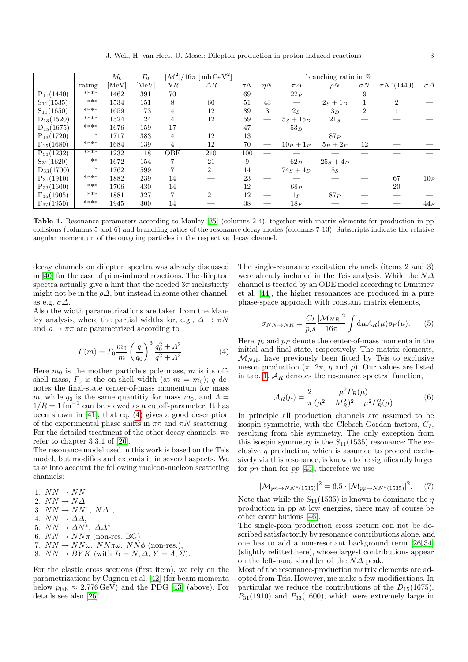J. Weil, H. van Hees, U. Mosel: Dilepton production in proton-induced reactions 3

|                |        | $M_0$ | $\Gamma_0$ | $ {\cal M}^2 /16\pi~[\,{\rm mb}\,{\rm GeV}^2]$ | branching ratio in $\%$ |         |          |              |                |                |                 |                |
|----------------|--------|-------|------------|------------------------------------------------|-------------------------|---------|----------|--------------|----------------|----------------|-----------------|----------------|
|                | rating | [MeV] | [MeV]      | NR                                             | $\Delta R$              | $\pi N$ | $\eta N$ | $\pi\Delta$  | $\rho N$       | $\sigma N$     | $\pi N^*(1440)$ | $\sigma\Delta$ |
| $P_{11}(1440)$ | ****   | 1462  | 391        | 70                                             |                         | 69      |          | $22_P$       |                | 9              |                 |                |
| $S_{11}(1535)$ | $***$  | 1534  | 151        | 8                                              | 60                      | 51      | 43       |              | $2s + 1_D$     |                | $\overline{2}$  |                |
| $S_{11}(1650)$ | ****   | 1659  | 173        | 4                                              | 12                      | 89      | 3        | $2_D$        | $3_D$          | $\overline{2}$ |                 |                |
| $D_{13}(1520)$ | ****   | 1524  | 124        | 4                                              | 12                      | 59      |          | $5s + 15p$   | $21_S$         |                |                 |                |
| $D_{15}(1675)$ | ****   | 1676  | 159        | 17                                             |                         | 47      |          | $53_D$       |                |                |                 |                |
| $P_{13}(1720)$ | $\ast$ | 1717  | 383        | 4                                              | 12                      | 13      |          |              | 87P            |                |                 |                |
| $F_{15}(1680)$ | ****   | 1684  | 139        | 4                                              | 12                      | 70      |          | $10_P + 1_F$ | $5_P+2_F$      | 12             |                 |                |
| $P_{33}(1232)$ | ****   | 1232  | 118        | <b>OBE</b>                                     | 210                     | 100     |          |              |                |                |                 |                |
| $S_{31}(1620)$ | $***$  | 1672  | 154        |                                                | 21                      | 9       |          | $62_D$       | $25s + 4D$     |                |                 |                |
| $D_{33}(1700)$ | $\ast$ | 1762  | 599        |                                                | 21                      | 14      |          | $74_S + 4_D$ | 8 <sub>S</sub> |                |                 |                |
| $P_{31}(1910)$ | ****   | 1882  | 239        | 14                                             |                         | 23      |          |              |                |                | 67              | $10_P$         |
| $P_{33}(1600)$ | ***    | 1706  | 430        | 14                                             |                         | 12      |          | 68P          |                |                | 20              |                |
| $F_{35}(1905)$ | ***    | 1881  | 327        |                                                | 21                      | 12      | __       | $1_P$        | 87P            |                |                 |                |
| $F_{37}(1950)$ | ****   | 1945  | 300        | 14                                             |                         | 38      |          | $18_F$       |                |                |                 | $44_F$         |

<span id="page-2-0"></span>Table 1. Resonance parameters according to Manley [\[35\]](#page-16-18) (columns 2-4), together with matrix elements for production in pp collisions (columns 5 and 6) and branching ratios of the resonance decay modes (columns 7-13). Subscripts indicate the relative angular momentum of the outgoing particles in the respective decay channel.

decay channels on dilepton spectra was already discussed in [\[40\]](#page-16-23) for the case of pion-induced reactions. The dilepton spectra actually give a hint that the needed  $3\pi$  inelasticity might not be in the  $\rho\Delta$ , but instead in some other channel, as e.g.  $\sigma\Delta$ .

Also the width parametrizations are taken from the Manley analysis, where the partial widths for, e.g.,  $\Delta \to \pi N$ and  $\rho \to \pi\pi$  are parametrized according to

<span id="page-2-1"></span>
$$
\Gamma(m) = \Gamma_0 \frac{m_0}{m} \left(\frac{q}{q_0}\right)^3 \frac{q_0^2 + A^2}{q^2 + A^2}.
$$
 (4)

Here  $m_0$  is the mother particle's pole mass, m is its offshell mass,  $\Gamma_0$  is the on-shell width (at  $m = m_0$ ); q denotes the final-state center-of-mass momentum for mass m, while  $q_0$  is the same quantitiv for mass  $m_0$ , and  $\Lambda =$  $1/R = 1 \text{ fm}^{-1}$  can be viewed as a cutoff-parameter. It has been shown in [\[41\]](#page-16-24), that eq. [\(4\)](#page-2-1) gives a good description of the experimental phase shifts in  $\pi\pi$  and  $\pi N$  scattering. For the detailed treatment of the other decay channels, we refer to chapter 3.3.1 of [\[26\]](#page-16-9).

The resonance model used in this work is based on the Teis model, but modifies and extends it in several aspects. We take into account the following nucleon-nucleon scattering channels:

1.  $NN \rightarrow NN$ 2.  $NN \rightarrow N\Delta$ , 3.  $NN \rightarrow NN^*$ ,  $N\Delta^*$ , 4.  $NN \rightarrow \Delta \Delta$ . 5.  $NN \to \Delta N^*$ ,  $\Delta \Delta^*$ , 6.  $NN \rightarrow NN\pi$  (non-res. BG) 7.  $NN \rightarrow NN\omega$ ,  $NN\pi\omega$ ,  $NN\phi$  (non-res.),

8.  $NN \rightarrow BYK$  (with  $B = N, \Delta; Y = \Lambda, \Sigma$ ).

For the elastic cross sections (first item), we rely on the parametrizations by Cugnon et al. [\[42\]](#page-16-25) (for beam momenta below  $p_{\text{lab}} \approx 2.776 \,\text{GeV}$  and the PDG [\[43\]](#page-16-26) (above). For details see also [\[26\]](#page-16-9).

The single-resonance excitation channels (items 2 and 3) were already included in the Teis analysis. While the  $N\Delta$ channel is treated by an OBE model according to Dmitriev et al. [\[44\]](#page-16-27), the higher resonances are produced in a pure phase-space approach with constant matrix elements,

$$
\sigma_{NN\to NR} = \frac{C_I}{p_i s} \frac{|\mathcal{M}_{NR}|^2}{16\pi} \int \mathrm{d}\mu \mathcal{A}_R(\mu) p_F(\mu). \tag{5}
$$

Here,  $p_i$  and  $p_F$  denote the center-of-mass momenta in the initial and final state, respectively. The matrix elements,  $\mathcal{M}_{NR}$ , have previously been fitted by Teis to exclusive meson production  $(\pi, 2\pi, \eta \text{ and } \rho)$ . Our values are listed in tab. [1.](#page-2-0)  $A_R$  denotes the resonance spectral function,

$$
\mathcal{A}_R(\mu) = \frac{2}{\pi} \frac{\mu^2 \Gamma_R(\mu)}{(\mu^2 - M_R^2)^2 + \mu^2 \Gamma_R^2(\mu)} . \tag{6}
$$

In principle all production channels are assumed to be isospin-symmetric, with the Clebsch-Gordan factors,  $C_I$ , resulting from this symmetry. The only exception from this isospin symmetry is the  $S_{11}(1535)$  resonance: The exclusive  $\eta$  production, which is assumed to proceed exclusively via this resonance, is known to be significantly larger for pn than for pp  $[45]$ , therefore we use

$$
|\mathcal{M}_{pn \to NN^*(1535)}|^2 = 6.5 \cdot |\mathcal{M}_{pp \to NN^*(1535)}|^2. \tag{7}
$$

Note that while the  $S_{11}(1535)$  is known to dominate the  $\eta$ production in pp at low energies, there may of course be other contributions [\[46\]](#page-16-29).

The single-pion production cross section can not be described satisfactorily by resonance contributions alone, and one has to add a non-resonant background term [\[26,](#page-16-9) [34\]](#page-16-17) (slightly refitted here), whose largest contributions appear on the left-hand shoulder of the  $N\Delta$  peak.

Most of the resonance-production matrix elements are adopted from Teis. However, me make a few modifications. In particular we reduce the contributions of the  $D_{15}(1675)$ ,  $P_{31}(1910)$  and  $P_{33}(1600)$ , which were extremely large in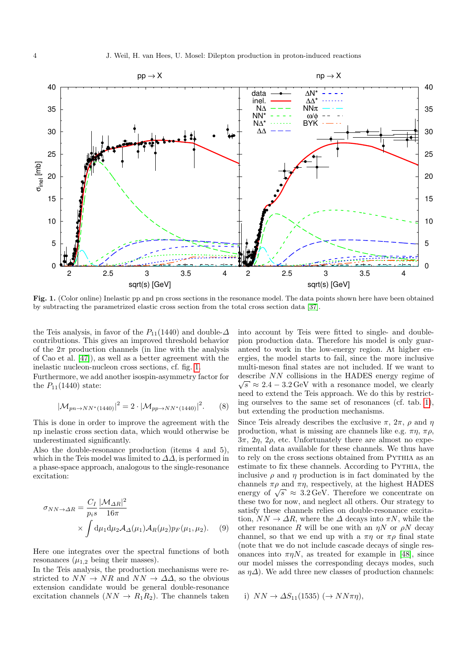

<span id="page-3-0"></span>Fig. 1. (Color online) Inelastic pp and pn cross sections in the resonance model. The data points shown here have been obtained by subtracting the parametrized elastic cross section from the total cross section data [\[37\]](#page-16-20).

the Teis analysis, in favor of the  $P_{11}(1440)$  and double- $\Delta$ contributions. This gives an improved threshold behavior of the  $2\pi$  production channels (in line with the analysis of Cao et al. [\[47\]](#page-16-30)), as well as a better agreement with the inelastic nucleon-nucleon cross sections, cf. fig. [1.](#page-3-0)

Furthermore, we add another isospin-asymmetry factor for the  $P_{11}(1440)$  state:

$$
|\mathcal{M}_{pn \to NN^*(1440)}|^2 = 2 \cdot |\mathcal{M}_{pp \to NN^*(1440)}|^2. \tag{8}
$$

This is done in order to improve the agreement with the np inelastic cross section data, which would otherwise be underestimated significantly.

Also the double-resonance production (items 4 and 5), which in the Teis model was limited to  $\Delta\Delta$ , is performed in a phase-space approach, analogous to the single-resonance excitation:

$$
\sigma_{NN \to \Delta R} = \frac{C_I}{p_i s} \frac{|\mathcal{M}_{\Delta R}|^2}{16\pi} \times \int d\mu_1 d\mu_2 \mathcal{A}_{\Delta}(\mu_1) \mathcal{A}_{R}(\mu_2) p_F(\mu_1, \mu_2).
$$
 (9)

Here one integrates over the spectral functions of both resonances  $(\mu_{1,2}$  being their masses).

In the Teis analysis, the production mechanisms were restricted to  $NN \rightarrow NR$  and  $NN \rightarrow \Delta\Delta$ , so the obvious extension candidate would be general double-resonance excitation channels  $(NN \rightarrow R_1R_2)$ . The channels taken into account by Teis were fitted to single- and doublepion production data. Therefore his model is only guaranteed to work in the low-energy region. At higher energies, the model starts to fail, since the more inclusive multi-meson final states are not included. If we want to describe NN collisions in the HADES energy regime of ∴∴and a late of the second value.  $\sqrt{s} \approx 2.4 - 3.2 \,\text{GeV}$  with a resonance model, we clearly need to extend the Teis approach. We do this by restricting ourselves to the same set of resonances (cf. tab. [1\)](#page-2-0), but extending the production mechanisms.

Since Teis already describes the exclusive  $\pi$ ,  $2\pi$ ,  $\rho$  and  $\eta$ production, what is missing are channels like e.g.  $\pi \eta$ ,  $\pi \rho$ ,  $3\pi$ ,  $2\eta$ ,  $2\rho$ , etc. Unfortunately there are almost no experimental data available for these channels. We thus have to rely on the cross sections obtained from PYTHIA as an estimate to fix these channels. According to Pythia, the inclusive  $\rho$  and  $\eta$  production is in fact dominated by the channels  $\pi \rho$  and  $\pi \eta$ , respectively, at the highest HADES channels  $\pi \rho$  and  $\pi \eta$ , respectively, at the highest HADES<br>energy of  $\sqrt{s} \approx 3.2 \text{ GeV}$ . Therefore we concentrate on these two for now, and neglect all others. Our strategy to satisfy these channels relies on double-resonance excitation,  $NN \to \Delta R$ , where the  $\Delta$  decays into  $\pi N$ , while the other resonance R will be one with an  $\eta N$  or  $\rho N$  decay channel, so that we end up with a  $\pi\eta$  or  $\pi\rho$  final state (note that we do not include cascade decays of single resonances into  $\pi \eta N$ , as treated for example in [\[48\]](#page-16-31), since our model misses the corresponding decays modes, such as  $\eta\Delta$ ). We add three new classes of production channels:

i) 
$$
NN \rightarrow \Delta S_{11}(1535) \; (\rightarrow NN\pi\eta),
$$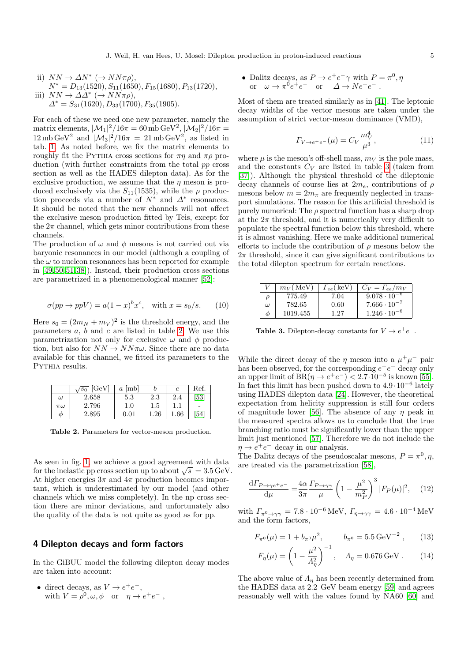ii)  $NN \to \Delta N^* \ (\to NN \pi \rho),$  $N^* = D_{13}(1520), S_{11}(1650), F_{15}(1680), P_{13}(1720),$ iii)  $NN \to \Delta \Delta^* \ (\to NN \pi \rho),$  $\Delta^* = S_{31}(1620), D_{33}(1700), F_{35}(1905).$ 

For each of these we need one new parameter, namely the matrix elements,  $|\mathcal{M}_1|^2/16\pi = 60 \,\mathrm{mb}\,\mathrm{GeV}^2,$   $|\mathcal{M}_2|^2/16\pi =$  $12 \text{ mb } \text{GeV}^2$  and  $|\mathcal{M}_3|^2/16\pi = 21 \text{ mb } \text{GeV}^2$ , as listed in tab. [1.](#page-2-0) As noted before, we fix the matrix elements to roughly fit the PYTHIA cross sections for  $\pi\eta$  and  $\pi\rho$  production (with further constraints from the total pp cross section as well as the HADES dilepton data). As for the exclusive production, we assume that the  $\eta$  meson is produced exclusively via the  $S_{11}(1535)$ , while the  $\rho$  production proceeds via a number of  $N^*$  and  $\Delta^*$  resonances. It should be noted that the new channels will not affect the exclusive meson production fitted by Teis, except for the  $2\pi$  channel, which gets minor contributions from these channels.

The production of  $\omega$  and  $\phi$  mesons is not carried out via baryonic resonances in our model (although a coupling of the  $\omega$  to nucleon resonances has been reported for example in [\[49,](#page-16-32) [50,](#page-16-33) [51,](#page-16-34) [38\]](#page-16-21)). Instead, their production cross sections are parametrized in a phenomenological manner [\[52\]](#page-16-35):

$$
\sigma(pp \to ppV) = a(1-x)^b x^c, \quad \text{with } x = s_0/s. \tag{10}
$$

Here  $s_0 = (2m_N + m_V)^2$  is the threshold energy, and the parameters  $a, b$  and  $c$  are listed in table [2.](#page-4-0) We use this parametrization not only for exclusive  $\omega$  and  $\phi$  production, but also for  $NN \to NN\pi\omega$ . Since there are no data available for this channel, we fitted its parameters to the PYTHIA results.

|             | [GeV]<br>$s_0$ | [mb]<br>$\boldsymbol{a}$ |          |          | Ref. |
|-------------|----------------|--------------------------|----------|----------|------|
| $\omega$    | 2.658          | 5.3                      | 2.3      | 2.4      | 53   |
| $\pi\omega$ | 2.796          | $1.0\,$                  | 1.5      |          |      |
| Ф           | 2.895          | 0.01                     | $1.26\,$ | $1.66\,$ | 54   |

<span id="page-4-0"></span>Table 2. Parameters for vector-meson production.

As seen in fig. [1,](#page-3-0) we achieve a good agreement with data As seen in lig. 1, we achieve a good agreement with data for the inelastic pp cross section up to about  $\sqrt{s} = 3.5 \,\text{GeV}$ . At higher energies  $3\pi$  and  $4\pi$  production becomes important, which is underestimated by our model (and other channels which we miss completely). In the np cross section there are minor deviations, and unfortunately also the quality of the data is not quite as good as for pp.

## 4 Dilepton decays and form factors

In the GiBUU model the following dilepton decay modes are taken into account:

• direct decays, as  $V \rightarrow e^+e^-$ , with  $V = \rho^0, \omega, \phi$  or  $\eta \to e^+e^-$ , • Dalitz decays, as  $P \to e^+e^- \gamma$  with  $P = \pi^0, \eta$ or  $\omega \to \pi^0 e^+ e^-$  or  $\Delta \to Ne^+e^-$ .

Most of them are treated similarly as in [\[41\]](#page-16-24). The leptonic decay widths of the vector mesons are taken under the assumption of strict vector-meson dominance (VMD),

<span id="page-4-2"></span>
$$
\Gamma_{V \to e^+e^-}(\mu) = C_V \frac{m_V^4}{\mu^3},\tag{11}
$$

where  $\mu$  is the meson's off-shell mass,  $m_V$  is the pole mass, and the constants  $C_V$  are listed in table [3](#page-4-1) (taken from [\[37\]](#page-16-20)). Although the physical threshold of the dileptonic decay channels of course lies at  $2m_e$ , contributions of  $\rho$ mesons below  $m = 2m_{\pi}$  are frequently neglected in transport simulations. The reason for this artificial threshold is purely numerical: The  $\rho$  spectral function has a sharp drop at the  $2\pi$  threshold, and it is numerically very difficult to populate the spectral function below this threshold, where it is almost vanishing. Here we make additional numerical efforts to include the contribution of  $\rho$  mesons below the  $2\pi$  threshold, since it can give significant contributions to the total dilepton spectrum for certain reactions.

|   | $m_V(MeV)$ | $\Gamma_{ee}$ (keV) | $C_V = \Gamma_{ee}/m_V$ |
|---|------------|---------------------|-------------------------|
| ρ | 775.49     | 7.04                | $9.078 \cdot 10^{-6}$   |
| ω | 782.65     | 0.60                | $7.666 \cdot 10^{-7}$   |
| Φ | 1019.455   | 1.27                | $1.246 \cdot 10^{-6}$   |

<span id="page-4-1"></span>**Table 3.** Dilepton-decay constants for  $V \rightarrow e^+e^-$ .

While the direct decay of the  $\eta$  meson into a  $\mu^+\mu^-$  pair has been observed, for the corresponding  $e^+e^-$  decay only an upper limit of  $BR(\eta \to e^+e^-) < 2.7 \cdot 10^{-5}$  is known [\[55\]](#page-16-38). In fact this limit has been pushed down to  $4.9 \cdot 10^{-6}$  lately using HADES dilepton data [\[24\]](#page-16-7). However, the theoretical expectation from helicity suppression is still four orders of magnitude lower [\[56\]](#page-16-39). The absence of any  $\eta$  peak in the measured spectra allows us to conclude that the true branching ratio must be significantly lower than the upper limit just mentioned [\[57\]](#page-16-40). Therefore we do not include the  $\eta \rightarrow e^+e^-$  decay in our analysis.

The Dalitz decays of the pseudoscalar mesons,  $P = \pi^0, \eta$ , are treated via the parametrization [\[58\]](#page-16-41),

$$
\frac{\mathrm{d}\Gamma_{P\to\gamma e^+e^-}}{\mathrm{d}\mu} = \frac{4\alpha}{3\pi} \frac{\Gamma_{P\to\gamma\gamma}}{\mu} \left(1 - \frac{\mu^2}{m_P^2}\right)^3 |F_P(\mu)|^2,\tag{12}
$$

with  $\Gamma_{\pi^0 \to \gamma\gamma} = 7.8 \cdot 10^{-6} \text{ MeV}, \Gamma_{\eta \to \gamma\gamma} = 4.6 \cdot 10^{-4} \text{ MeV}$ and the form factors,

$$
F_{\pi^0}(\mu) = 1 + b_{\pi^0} \mu^2, \qquad b_{\pi^0} = 5.5 \,\text{GeV}^{-2} \,, \qquad (13)
$$

$$
F_{\eta}(\mu) = \left(1 - \frac{\mu^2}{A_{\eta}^2}\right)^{-1}, \quad A_{\eta} = 0.676 \,\text{GeV} \,. \tag{14}
$$

The above value of  $\Lambda_{\eta}$  has been recently determined from the HADES data at 2.2 GeV beam energy [\[59\]](#page-16-42) and agrees reasonably well with the values found by NA60 [\[60\]](#page-16-43) and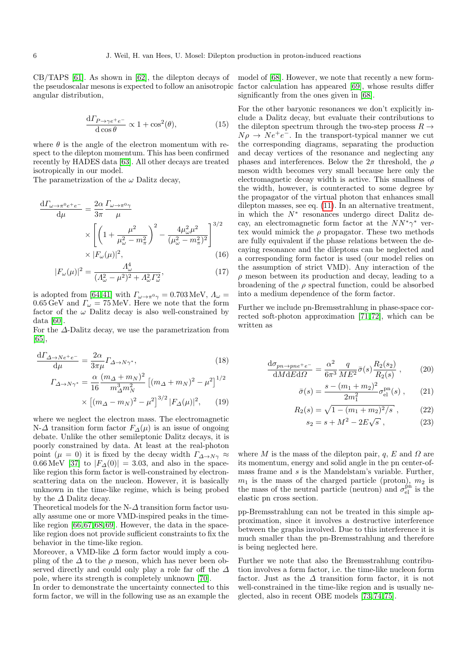CB/TAPS [\[61\]](#page-16-44). As shown in [\[62\]](#page-16-45), the dilepton decays of the pseudoscalar mesons is expected to follow an anisotropic angular distribution,

$$
\frac{\mathrm{d}\Gamma_{P\to\gamma e^+e^-}}{\mathrm{d}\cos\theta} \propto 1 + \cos^2(\theta),\tag{15}
$$

where  $\theta$  is the angle of the electron momentum with respect to the dilepton momentum. This has been confirmed recently by HADES data [\[63\]](#page-16-46). All other decays are treated isotropically in our model.

The parametrization of the  $\omega$  Dalitz decay,

$$
\frac{d\Gamma_{\omega \to \pi^0 e^+ e^-}}{d\mu} = \frac{2\alpha}{3\pi} \frac{\Gamma_{\omega \to \pi^0 \gamma}}{\mu}
$$

$$
\times \left[ \left( 1 + \frac{\mu^2}{\mu_{\omega}^2 - m_{\pi}^2} \right)^2 - \frac{4\mu_{\omega}^2 \mu^2}{(\mu_{\omega}^2 - m_{\pi}^2)^2} \right]^{3/2}
$$

$$
\times |F_{\omega}(\mu)|^2, \tag{16}
$$

$$
|F_{\omega}(\mu)|^2 = \frac{\Lambda_{\omega}^4}{(\Lambda_{\omega}^2 - \mu^2)^2 + \Lambda_{\omega}^2 \Gamma_{\omega}^2},\tag{17}
$$

is adopted from [\[64,](#page-16-47)41] with  $\varGamma_{\omega\to\pi^0\gamma}=0.703\,\mathrm{MeV},$   $\varLambda_\omega=$ 0.65 GeV and  $\Gamma_{\omega} = 75 \,\text{MeV}$ . Here we note that the form factor of the  $\omega$  Dalitz decay is also well-constrained by data [\[60\]](#page-16-43).

For the  $\Delta$ -Dalitz decay, we use the parametrization from [\[65\]](#page-16-48),

$$
\frac{d\Gamma_{\Delta \to Ne^+e^-}}{d\mu} = \frac{2\alpha}{3\pi\mu} \Gamma_{\Delta \to N\gamma^*},
$$
(18)  

$$
\Gamma_{\Delta \to N\gamma^*} = \frac{\alpha}{16} \frac{(m_{\Delta} + m_N)^2}{m_{\Delta}^3 m_N^2} \left[ (m_{\Delta} + m_N)^2 - \mu^2 \right]^{1/2}
$$

$$
\times \left[ (m_{\Delta} - m_N)^2 - \mu^2 \right]^{3/2} |F_{\Delta}(\mu)|^2, \quad (19)
$$

where we neglect the electron mass. The electromagnetic N- $\Delta$  transition form factor  $F_{\Delta}(\mu)$  is an issue of ongoing debate. Unlike the other semileptonic Dalitz decays, it is poorly constrained by data. At least at the real-photon point ( $\mu = 0$ ) it is fixed by the decay width  $\Gamma_{\Delta \to N\gamma} \approx$ 0.66 MeV [\[37\]](#page-16-20) to  $|F_{\Delta}(0)| = 3.03$ , and also in the spacelike region this form factor is well-constrained by electronscattering data on the nucleon. However, it is basically unknown in the time-like regime, which is being probed by the  $\Delta$  Dalitz decay.

Theoretical models for the N- $\Delta$  transition form factor usually assume one or more VMD-inspired peaks in the time-like region [\[66,](#page-16-49) [67,](#page-16-50) [68,](#page-16-51) [69\]](#page-16-52). However, the data in the spacelike region does not provide sufficient constraints to fix the behavior in the time-like region.

Moreover, a VMD-like  $\Delta$  form factor would imply a coupling of the  $\Delta$  to the  $\rho$  meson, which has never been observed directly and could only play a role far off the  $\Delta$ pole, where its strength is completely unknown [\[70\]](#page-16-53).

In order to demonstrate the uncertainty connected to this form factor, we will in the following use as an example the

model of [\[68\]](#page-16-51). However, we note that recently a new formfactor calculation has appeared [\[69\]](#page-16-52), whose results differ significantly from the ones given in [\[68\]](#page-16-51).

For the other baryonic resonances we don't explicitly include a Dalitz decay, but evaluate their contributions to the dilepton spectrum through the two-step process  $R \rightarrow$  $N\rho \rightarrow Ne^+e^-$ . In the transport-typical manner we cut the corresponding diagrams, separating the production and decay vertices of the resonance and neglecting any phases and interferences. Below the  $2\pi$  threshold, the  $\rho$ meson width becomes very small because here only the electromagnetic decay width is active. This smallness of the width, however, is counteracted to some degree by the propagator of the virtual photon that enhances small dilepton masses, see eq. [\(11\)](#page-4-2). In an alternative treatment, in which the  $N^*$  resonances undergo direct Dalitz decay, an electromagnetic form factor at the  $NN^*\gamma^*$  vertex would mimick the  $\rho$  propagator. These two methods are fully equivalent if the phase relations between the decaying resonance and the dileptons can be neglected and a corresponding form factor is used (our model relies on the assumption of strict VMD). Any interaction of the  $\rho$  meson between its production and decay, leading to a broadening of the  $\rho$  spectral function, could be absorbed into a medium dependence of the form factor.

Further we include pn-Bremsstrahlung in phase-space corrected soft-photon approximation [\[71,](#page-16-54) [72\]](#page-16-55), which can be written as

$$
\frac{\mathrm{d}\sigma_{pn \to pn e^+ e^-}}{\mathrm{d}M \mathrm{d}E \mathrm{d}\Omega} = \frac{\alpha^2}{6\pi^3} \frac{q}{ME^2} \bar{\sigma}(s) \frac{R_2(s_2)}{R_2(s)} ,\qquad (20)
$$

$$
\bar{\sigma}(s) = \frac{s - (m_1 + m_2)^2}{2m_1^2} \sigma_{\text{el}}^{\text{pn}}(s) , \qquad (21)
$$

$$
R_2(s) = \sqrt{1 - (m_1 + m_2)^2/s} \,, \tag{22}
$$

$$
s_2 = s + M^2 - 2E\sqrt{s} \,, \tag{23}
$$

where M is the mass of the dilepton pair, q, E and  $\Omega$  are its momentum, energy and solid angle in the pn center-ofmass frame and s is the Mandelstam's variable. Further,  $m_1$  is the mass of the charged particle (proton),  $m_2$  is the mass of the neutral particle (neutron) and  $\sigma_{el}^{\text{pn}}$  is the elastic pn cross section.

pp-Bremsstrahlung can not be treated in this simple approximation, since it involves a destructive interference between the graphs involved. Due to this interference it is much smaller than the pn-Bremsstrahlung and therefore is being neglected here.

Further we note that also the Bremsstrahlung contribution involves a form factor, i.e. the time-like nucleon form factor. Just as the  $\Delta$  transition form factor, it is not well-constrained in the time-like region and is usually neglected, also in recent OBE models [\[73,](#page-16-56) [74,](#page-16-57) [75\]](#page-16-58).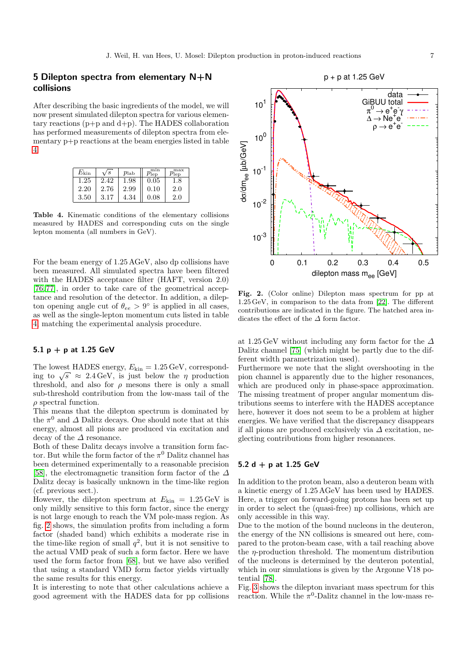## 5 Dilepton spectra from elementary N+N collisions

After describing the basic ingredients of the model, we will now present simulated dilepton spectra for various elementary reactions  $(p+p \text{ and } d+p)$ . The HADES collaboration has performed measurements of dilepton spectra from elementary p+p reactions at the beam energies listed in table [4.](#page-6-0)

| $E_{\rm kin}$ | /s   | $p_{\rm lab}$ | $p_{\mathrm{lep}}$ | max<br>$\eta_{ep}$ |
|---------------|------|---------------|--------------------|--------------------|
| 1.25          | 2.42 | 1.98          | 0.05               | 1.8                |
| 2.20          | 2.76 | 2.99          | 0.10               | 2.0                |
| 3.50          | 3.17 | 4.34          | 0.08               | 2.0                |

<span id="page-6-0"></span>Table 4. Kinematic conditions of the elementary collisions measured by HADES and corresponding cuts on the single lepton momenta (all numbers in GeV).

For the beam energy of 1.25 AGeV, also dp collisions have been measured. All simulated spectra have been filtered with the HADES acceptance filter (HAFT, version 2.0) [\[76,](#page-16-59) [77\]](#page-16-60), in order to take care of the geometrical acceptance and resolution of the detector. In addition, a dilepton opening angle cut of  $\theta_{ee} > 9^{\circ}$  is applied in all cases, as well as the single-lepton momentum cuts listed in table [4,](#page-6-0) matching the experimental analysis procedure.

## 5.1  $p + p$  at 1.25 GeV

The lowest HADES energy,  $E_{\text{kin}} = 1.25 \,\text{GeV}$ , correspond-The lowest HADES energy,  $E_{\text{kin}} = 1.25 \text{ GeV}$ , corresponding to  $\sqrt{s} \approx 2.4 \text{ GeV}$ , is just below the  $\eta$  production threshold, and also for  $\rho$  mesons there is only a small sub-threshold contribution from the low-mass tail of the  $\rho$  spectral function.

This means that the dilepton spectrum is dominated by the  $\pi^0$  and  $\Delta$  Dalitz decays. One should note that at this energy, almost all pions are produced via excitation and decay of the  $\Delta$  resonance.

Both of these Dalitz decays involve a transition form factor. But while the form factor of the  $\pi^0$  Dalitz channel has been determined experimentally to a reasonable precision [\[58\]](#page-16-41), the electromagnetic transition form factor of the  $\Delta$ Dalitz decay is basically unknown in the time-like region (cf. previous sect.).

However, the dilepton spectrum at  $E_{\text{kin}} = 1.25 \,\text{GeV}$  is only mildly sensitive to this form factor, since the energy is not large enough to reach the VM pole-mass region. As fig. [2](#page-6-1) shows, the simulation profits from including a form factor (shaded band) which exhibits a moderate rise in the time-like region of small  $q^2$ , but it is not sensitive to the actual VMD peak of such a form factor. Here we have used the form factor from [\[68\]](#page-16-51), but we have also verified that using a standard VMD form factor yields virtually the same results for this energy.

It is interesting to note that other calculations achieve a good agreement with the HADES data for pp collisions



<span id="page-6-1"></span>Fig. 2. (Color online) Dilepton mass spectrum for pp at 1.25 GeV, in comparison to the data from [\[22\]](#page-16-5). The different contributions are indicated in the figure. The hatched area indicates the effect of the  $\Delta$  form factor.

at 1.25 GeV without including any form factor for the  $\Delta$ Dalitz channel [\[75\]](#page-16-58) (which might be partly due to the different width parametrization used).

Furthermore we note that the slight overshooting in the pion channel is apparently due to the higher resonances, which are produced only in phase-space approximation. The missing treatment of proper angular momentum distributions seems to interfere with the HADES acceptance here, however it does not seem to be a problem at higher energies. We have verified that the discrepancy disappears if all pions are produced exclusively via  $\Delta$  excitation, neglecting contributions from higher resonances.

## 5.2 d + p at 1.25 GeV

In addition to the proton beam, also a deuteron beam with a kinetic energy of 1.25 AGeV has been used by HADES. Here, a trigger on forward-going protons has been set up in order to select the (quasi-free) np collisions, which are only accessible in this way.

Due to the motion of the bound nucleons in the deuteron, the energy of the NN collisions is smeared out here, compared to the proton-beam case, with a tail reaching above the  $\eta$ -production threshold. The momentum distribution of the nucleons is determined by the deuteron potential, which in our simulations is given by the Argonne V18 potential [\[78\]](#page-16-61).

Fig. [3](#page-7-0) shows the dilepton invariant mass spectrum for this reaction. While the  $\pi^0$ -Dalitz channel in the low-mass re-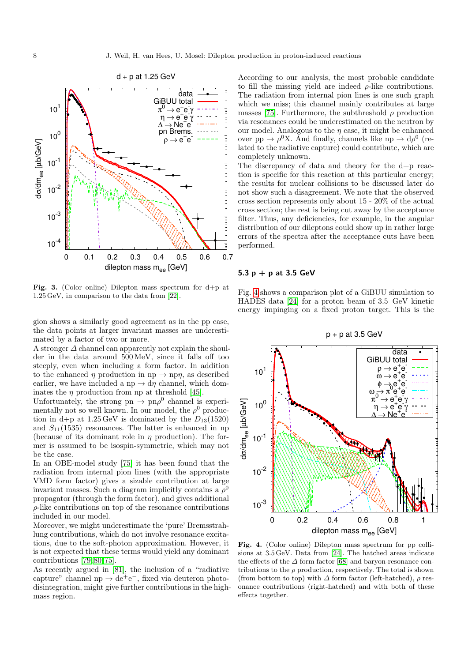

<span id="page-7-0"></span>Fig. 3. (Color online) Dilepton mass spectrum for d+p at 1.25 GeV, in comparison to the data from [\[22\]](#page-16-5).

gion shows a similarly good agreement as in the pp case, the data points at larger invariant masses are underestimated by a factor of two or more.

A stronger  $\Delta$  channel can apparently not explain the shoulder in the data around 500 MeV, since it falls off too steeply, even when including a form factor. In addition to the enhanced  $\eta$  production in np  $\rightarrow$  np $\eta$ , as described earlier, we have included a np  $\rightarrow$  dn channel, which dominates the  $\eta$  production from np at threshold [\[45\]](#page-16-28).

Unfortunately, the strong pn  $\rightarrow$  pn $\rho^0$  channel is experimentally not so well known. In our model, the  $\rho^0$  production in d+p at  $1.25 \,\text{GeV}$  is dominated by the  $D_{13}(1520)$ and  $S_{11}(1535)$  resonances. The latter is enhanced in np (because of its dominant role in  $\eta$  production). The former is assumed to be isospin-symmetric, which may not be the case.

In an OBE-model study [\[75\]](#page-16-58) it has been found that the radiation from internal pion lines (with the appropriate VMD form factor) gives a sizable contribution at large invariant masses. Such a diagram implicitly contains a  $\rho^0$ propagator (through the form factor), and gives additional  $\rho$ -like contributions on top of the resonance contributions included in our model.

Moreover, we might underestimate the 'pure' Bremsstrahlung contributions, which do not involve resonance excitations, due to the soft-photon approximation. However, it is not expected that these terms would yield any dominant contributions [\[79,](#page-17-0) [80,](#page-17-1) [75\]](#page-16-58).

As recently argued in [\[81\]](#page-17-2), the inclusion of a "radiative capture" channel np  $\rightarrow$  de<sup>+</sup>e<sup>-</sup>, fixed via deuteron photodisintegration, might give further contributions in the highmass region.

According to our analysis, the most probable candidate to fill the missing yield are indeed  $\rho$ -like contributions. The radiation from internal pion lines is one such graph which we miss; this channel mainly contributes at large masses [\[75\]](#page-16-58). Furthermore, the subthreshold  $\rho$  production via resonances could be underestimated on the neutron by our model. Analogous to the  $n$  case, it might be enhanced over pp  $\rightarrow \rho^0 X$ . And finally, channels like np  $\rightarrow d\rho^0$  (related to the radiative capture) could contribute, which are completely unknown.

The discrepancy of data and theory for the d+p reaction is specific for this reaction at this particular energy; the results for nuclear collisions to be discussed later do not show such a disagreement. We note that the observed cross section represents only about 15 - 20% of the actual cross section; the rest is being cut away by the acceptance filter. Thus, any deficiencies, for example, in the angular distribution of our dileptons could show up in rather large errors of the spectra after the acceptance cuts have been performed.

#### 5.3  $p + p$  at 3.5 GeV

Fig. [4](#page-7-1) shows a comparison plot of a GiBUU simulation to HADES data [\[24\]](#page-16-7) for a proton beam of 3.5 GeV kinetic energy impinging on a fixed proton target. This is the

 $p + p$  at 3.5 GeV



<span id="page-7-1"></span>Fig. 4. (Color online) Dilepton mass spectrum for pp collisions at 3.5 GeV. Data from [\[24\]](#page-16-7). The hatched areas indicate the effects of the  $\varDelta$  form factor [\[68\]](#page-16-51) and baryon-resonance contributions to the  $\rho$  production, respectively. The total is shown (from bottom to top) with  $\Delta$  form factor (left-hatched),  $\rho$  resonance contributions (right-hatched) and with both of these effects together.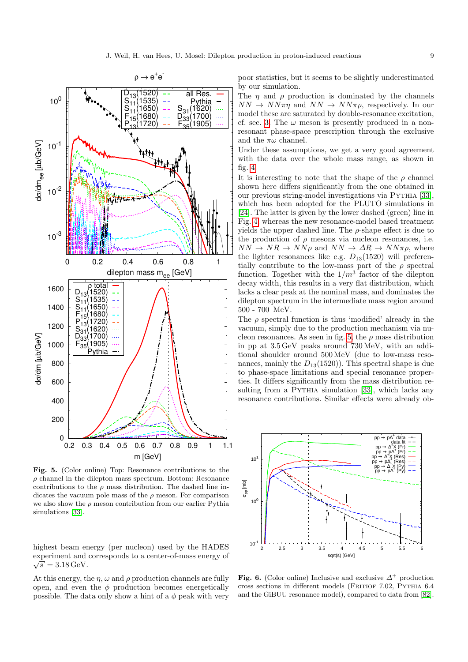

<span id="page-8-0"></span>Fig. 5. (Color online) Top: Resonance contributions to the  $\rho$  channel in the dilepton mass spectrum. Bottom: Resonance contributions to the  $\rho$  mass distribution. The dashed line indicates the vacuum pole mass of the  $\rho$  meson. For comparison we also show the  $\rho$  meson contribution from our earlier Pythia simulations [\[33\]](#page-16-16).

highest beam energy (per nucleon) used by the HADES experiment and corresponds to a center-of-mass energy of  $\sqrt{s} = 3.18 \,\text{GeV}.$ 

At this energy, the  $\eta$ ,  $\omega$  and  $\rho$  production channels are fully open, and even the  $\phi$  production becomes energetically possible. The data only show a hint of a  $\phi$  peak with very poor statistics, but it seems to be slightly underestimated by our simulation.

The  $\eta$  and  $\rho$  production is dominated by the channels  $NN \rightarrow NN\pi\eta$  and  $NN \rightarrow NN\pi\rho$ , respectively. In our model these are saturated by double-resonance excitation, cf. sec. [3.](#page-1-2) The  $\omega$  meson is presently produced in a nonresonant phase-space prescription through the exclusive and the  $\pi\omega$  channel.

Under these assumptions, we get a very good agreement with the data over the whole mass range, as shown in fig. [4.](#page-7-1)

It is interesting to note that the shape of the  $\rho$  channel shown here differs significantly from the one obtained in our previous string-model investigations via Pythia [\[33\]](#page-16-16), which has been adopted for the PLUTO simulations in [\[24\]](#page-16-7). The latter is given by the lower dashed (green) line in Fig. [4,](#page-7-1) whereas the new resonance-model based treatment yields the upper dashed line. The  $\rho$ -shape effect is due to the production of  $\rho$  mesons via nucleon resonances, i.e.  $NN \rightarrow NR \rightarrow NN\rho$  and  $NN \rightarrow \Delta R \rightarrow NN\pi\rho$ , where the lighter resonances like e.g.  $D_{13}(1520)$  will preferentially contribute to the low-mass part of the  $\rho$  spectral function. Together with the  $1/m^3$  factor of the dilepton decay width, this results in a very flat distribution, which lacks a clear peak at the nominal mass, and dominates the dilepton spectrum in the intermediate mass region around  $500$  -  $700\,$  MeV.

The  $\rho$  spectral function is thus 'modified' already in the vacuum, simply due to the production mechanism via nu-cleon resonances. As seen in fig. [5,](#page-8-0) the  $\rho$  mass distribution in pp at 3.5 GeV peaks around 730 MeV, with an additional shoulder around 500 MeV (due to low-mass resonances, mainly the  $D_{13}(1520)$ . This spectral shape is due to phase-space limitations and special resonance properties. It differs significantly from the mass distribution re-sulting from a PYTHIA simulation [\[33\]](#page-16-16), which lacks any resonance contributions. Similar effects were already ob-



<span id="page-8-1"></span>Fig. 6. (Color online) Inclusive and exclusive  $\Delta^+$  production cross sections in different models (Fritiof 7.02, Pythia 6.4 and the GiBUU resonance model), compared to data from [\[82\]](#page-17-3).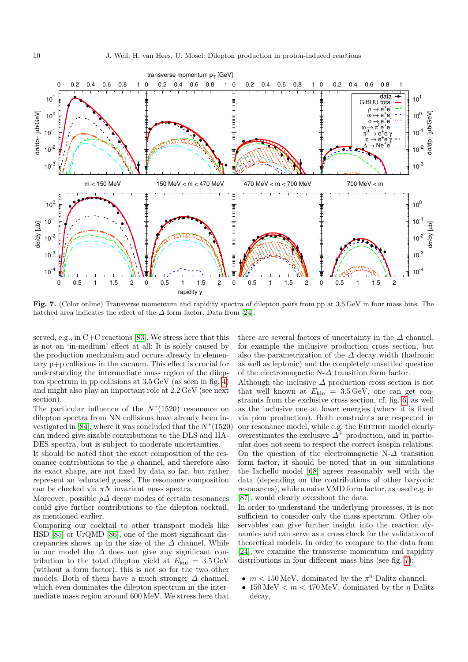

<span id="page-9-0"></span>Fig. 7. (Color online) Transverse momentum and rapidity spectra of dilepton pairs from pp at 3.5 GeV in four mass bins. The hatched area indicates the effect of the  $\Delta$  form factor. Data from [\[24\]](#page-16-7).

served, e.g., in C+C reactions [\[83\]](#page-17-4). We stress here that this is not an 'in-medium' effect at all: It is solely caused by the production mechanism and occurs already in elementary p+p collisions in the vacuum. This effect is crucial for understanding the intermediate mass region of the dilepton spectrum in pp collisions at 3.5 GeV (as seen in fig. [4\)](#page-7-1) and might also play an important role at 2.2 GeV (see next section).

The particular influence of the  $N^*(1520)$  resonance on dilepton spectra from NN collisions have already been in-vestigated in [\[84\]](#page-17-5), where it was concluded that the  $N^*(1520)$ can indeed give sizable contributions to the DLS and HA-DES spectra, but is subject to moderate uncertainties.

It should be noted that the exact composition of the resonance contributions to the  $\rho$  channel, and therefore also its exact shape, are not fixed by data so far, but rather represent an 'educated guess'. The resonance composition can be checked via  $\pi N$  invariant mass spectra.

Moreover, possible  $\rho\Delta$  decay modes of certain resonances could give further contributions to the dilepton cocktail, as mentioned earlier.

Comparing our cocktail to other transport models like HSD [\[85\]](#page-17-6) or UrQMD [\[86\]](#page-17-7), one of the most significant discrepancies shows up in the size of the  $\Delta$  channel. While in our model the  $\Delta$  does not give any significant contribution to the total dilepton yield at  $E_{\text{kin}} = 3.5 \,\text{GeV}$ (without a form factor), this is not so for the two other models. Both of them have a much stronger  $\Delta$  channel, which even dominates the dilepton spectrum in the intermediate mass region around 600 MeV. We stress here that there are several factors of uncertainty in the  $\Delta$  channel, for example the inclusive production cross section, but also the parametrization of the  $\Delta$  decay width (hadronic as well as leptonic) and the completely unsettled question of the electromagnetic N- $\Delta$  transition form factor.

Although the inclusive  $\Delta$  production cross section is not that well known at  $E_{\text{kin}} = 3.5 \,\text{GeV}$ , one can get constraints from the exclusive cross section, cf. fig. [6,](#page-8-1) as well as the inclusive one at lower energies (where it is fixed via pion production). Both constraints are respected in our resonance model, while e.g. the FRITIOF model clearly overestimates the exclusive  $\overrightarrow{\Delta}^+$  production, and in particular does not seem to respect the correct isospin relations. On the question of the electromagnetic N- $\Delta$  transition form factor, it should be noted that in our simulations the Iachello model [\[68\]](#page-16-51) agrees reasonably well with the data (depending on the contributions of other baryonic resonances), while a naive VMD form factor, as used e.g. in [\[87\]](#page-17-8), would clearly overshoot the data.

In order to understand the underlying processes, it is not sufficient to consider only the mass spectrum. Other observables can give further insight into the reaction dynamics and can serve as a cross check for the validation of theoretical models. In order to compare to the data from [\[24\]](#page-16-7), we examine the transverse momentum and rapidity distributions in four different mass bins (see fig. [7\)](#page-9-0):

- $m < 150 \,\text{MeV}$ , dominated by the  $\pi^0$  Dalitz channel,
- 150 MeV  $< m < 470$  MeV, dominated by the  $\eta$  Dalitz decay,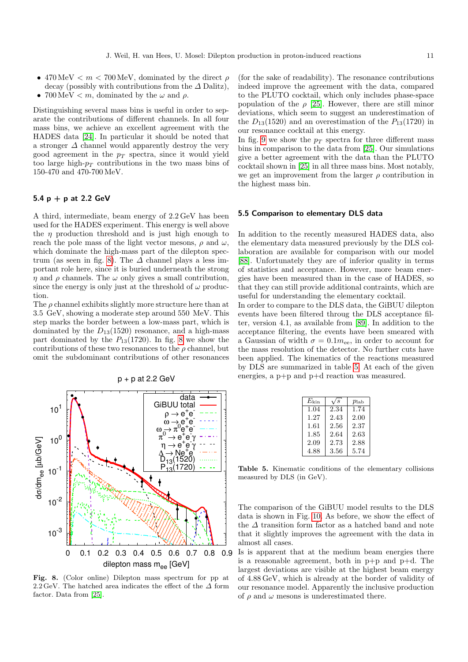- 470 MeV  $\lt m \lt 700$  MeV, dominated by the direct  $\rho$ decay (possibly with contributions from the  $\Delta$  Dalitz),
- $700 \,\mathrm{MeV} < m$ , dominated by the  $\omega$  and  $\rho$ .

Distinguishing several mass bins is useful in order to separate the contributions of different channels. In all four mass bins, we achieve an excellent agreement with the HADES data [\[24\]](#page-16-7). In particular it should be noted that a stronger  $\Delta$  channel would apparently destroy the very good agreement in the  $p_T$  spectra, since it would yield too large high- $p_T$  contributions in the two mass bins of 150-470 and 470-700 MeV.

#### 5.4  $p + p$  at 2.2 GeV

A third, intermediate, beam energy of 2.2 GeV has been used for the HADES experiment. This energy is well above the  $\eta$  production threshold and is just high enough to reach the pole mass of the light vector mesons,  $\rho$  and  $\omega$ , which dominate the high-mass part of the dilepton spec-trum (as seen in fig. [8\)](#page-10-0). The  $\Delta$  channel plays a less important role here, since it is buried underneath the strong  $\eta$  and  $\rho$  channels. The  $\omega$  only gives a small contribution, since the energy is only just at the threshold of  $\omega$  production.

The  $\rho$  channel exhibits slightly more structure here than at 3.5 GeV, showing a moderate step around 550 MeV. This step marks the border between a low-mass part, which is dominated by the  $D_{13}(1520)$  resonance, and a high-mass part dominated by the  $P_{13}(1720)$ . In fig. [8](#page-10-0) we show the contributions of these two resonances to the  $\rho$  channel, but omit the subdominant contributions of other resonances



<span id="page-10-0"></span>Fig. 8. (Color online) Dilepton mass spectrum for pp at 2.2 GeV. The hatched area indicates the effect of the  $\Delta$  form factor. Data from [\[25\]](#page-16-8).

(for the sake of readability). The resonance contributions indeed improve the agreement with the data, compared to the PLUTO cocktail, which only includes phase-space population of the  $\rho$  [\[25\]](#page-16-8). However, there are still minor deviations, which seem to suggest an underestimation of the  $D_{13}(1520)$  and an overestimation of the  $P_{13}(1720)$  in our resonance cocktail at this energy.

In fig. [9](#page-11-0) we show the  $p_T$  spectra for three different mass bins in comparison to the data from [\[25\]](#page-16-8). Our simulations give a better agreement with the data than the PLUTO cocktail shown in [\[25\]](#page-16-8) in all three mass bins. Most notably, we get an improvement from the larger  $\rho$  contribution in the highest mass bin.

#### 5.5 Comparison to elementary DLS data

In addition to the recently measured HADES data, also the elementary data measured previously by the DLS collaboration are available for comparison with our model [\[88\]](#page-17-9). Unfortunately they are of inferior quality in terms of statistics and acceptance. However, more beam energies have been measured than in the case of HADES, so that they can still provide additional contraints, which are useful for understanding the elementary cocktail.

In order to compare to the DLS data, the GiBUU dilepton events have been filtered throug the DLS acceptance filter, version 4.1, as available from [\[89\]](#page-17-10). In addition to the acceptance filtering, the events have been smeared with a Gaussian of width  $\sigma = 0.1 m_{ee}$ , in order to account for the mass resolution of the detector. No further cuts have been applied. The kinematics of the reactions measured by DLS are summarized in table [5.](#page-10-1) At each of the given energies, a p+p and p+d reaction was measured.

| $E_{\rm kin}$ | 's   | $p_{\rm lab}$ |
|---------------|------|---------------|
| 1.04          | 2.34 | 1.74          |
| 1.27          | 2.43 | 2.00          |
| 1.61          | 2.56 | 2.37          |
| 1.85          | 2.64 | 2.63          |
| 2.09          | 2.73 | 2.88          |
| 4.88          | 3.56 | 5.74          |

<span id="page-10-1"></span>Table 5. Kinematic conditions of the elementary collisions measured by DLS (in GeV).

The comparison of the GiBUU model results to the DLS data is shown in Fig. [10.](#page-12-0) As before, we show the effect of the  $\Delta$  transition form factor as a hatched band and note that it slightly improves the agreement with the data in almost all cases.

Is is apparent that at the medium beam energies there is a reasonable agreement, both in  $p+p$  and  $p+d$ . The largest deviations are visible at the highest beam energy of 4.88 GeV, which is already at the border of validity of our resonance model. Apparently the inclusive production of  $\rho$  and  $\omega$  mesons is underestimated there.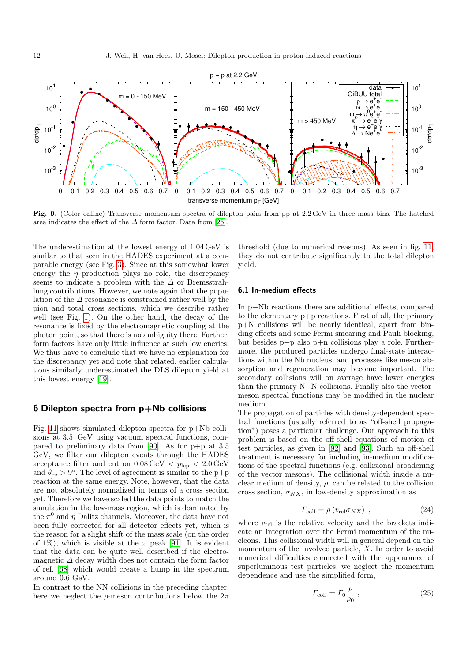

<span id="page-11-0"></span>Fig. 9. (Color online) Transverse momentum spectra of dilepton pairs from pp at 2.2 GeV in three mass bins. The hatched area indicates the effect of the  $\Delta$  form factor. Data from [\[25\]](#page-16-8).

The underestimation at the lowest energy of 1.04 GeV is similar to that seen in the HADES experiment at a comparable energy (see Fig. [3\)](#page-7-0). Since at this somewhat lower energy the  $\eta$  production plays no role, the discrepancy seems to indicate a problem with the  $\Delta$  or Bremsstrahlung contributions. However, we note again that the population of the  $\Delta$  resonance is constrained rather well by the pion and total cross sections, which we describe rather well (see Fig. [1\)](#page-3-0). On the other hand, the decay of the resonance is fixed by the electromagnetic coupling at the photon point, so that there is no ambiguity there. Further, form factors have only little influence at such low eneries. We thus have to conclude that we have no explanation for the discrepancy yet and note that related, earlier calculations similarly underestimated the DLS dilepton yield at this lowest energy [\[19\]](#page-16-2).

### 6 Dilepton spectra from p+Nb collisions

Fig. [11](#page-13-0) shows simulated dilepton spectra for p+Nb collisions at 3.5 GeV using vacuum spectral functions, compared to preliminary data from [\[90\]](#page-17-11). As for p+p at 3.5 GeV, we filter our dilepton events through the HADES acceptance filter and cut on  $0.08 \,\text{GeV} < p_{\text{lep}} < 2.0 \,\text{GeV}$ and  $\theta_{ee} > 9^{\circ}$ . The level of agreement is similar to the p+p reaction at the same energy. Note, however, that the data are not absolutely normalized in terms of a cross section yet. Therefore we have scaled the data points to match the simulation in the low-mass region, which is dominated by the  $\pi^0$  and  $\eta$  Dalitz channels. Moreover, the data have not been fully corrected for all detector effects yet, which is the reason for a slight shift of the mass scale (on the order of 1%), which is visible at the  $\omega$  peak [\[91\]](#page-17-12). It is evident that the data can be quite well described if the electromagnetic  $\Delta$  decay width does not contain the form factor of ref. [\[68\]](#page-16-51) which would create a hump in the spectrum around 0.6 GeV.

In contrast to the NN collisions in the preceding chapter, here we neglect the  $\rho$ -meson contributions below the  $2\pi$  threshold (due to numerical reasons). As seen in fig. [11,](#page-13-0) they do not contribute significantly to the total dilepton yield.

#### 6.1 In-medium effects

In p+Nb reactions there are additional effects, compared to the elementary p+p reactions. First of all, the primary p+N collisions will be nearly identical, apart from binding effects and some Fermi smearing and Pauli blocking, but besides p+p also p+n collisions play a role. Furthermore, the produced particles undergo final-state interactions within the Nb nucleus, and processes like meson absorption and regeneration may become important. The secondary collisions will on average have lower energies than the primary N+N collisions. Finally also the vectormeson spectral functions may be modified in the nuclear medium.

The propagation of particles with density-dependent spectral functions (usually referred to as "off-shell propagation") poses a particular challenge. Our approach to this problem is based on the off-shell equations of motion of test particles, as given in [\[92\]](#page-17-13) and [\[93\]](#page-17-14). Such an off-shell treatment is necessary for including in-medium modifications of the spectral functions (e.g. collisional broadening of the vector mesons). The collisional width inside a nuclear medium of density,  $\rho$ , can be related to the collision cross section,  $\sigma_{NX}$ , in low-density approximation as

$$
\Gamma_{\text{coll}} = \rho \left\langle v_{\text{rel}} \sigma_{NX} \right\rangle , \qquad (24)
$$

where  $v_{rel}$  is the relative velocity and the brackets indicate an integration over the Fermi momentum of the nucleons. This collisional width will in general depend on the momentum of the involved particle, X. In order to avoid numerical difficulties connected with the appearance of superluminous test particles, we neglect the momentum dependence and use the simplified form,

$$
\Gamma_{\text{coll}} = \Gamma_0 \frac{\rho}{\rho_0} \,, \tag{25}
$$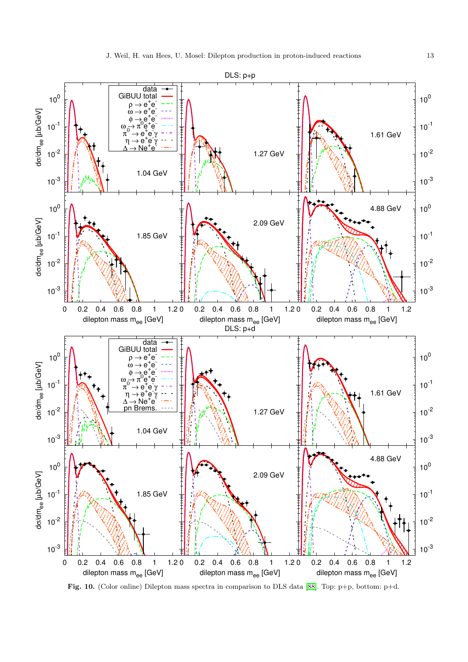

<span id="page-12-0"></span>Fig. 10. (Color online) Dilepton mass spectra in comparison to DLS data [\[88\]](#page-17-9). Top: p+p, bottom: p+d.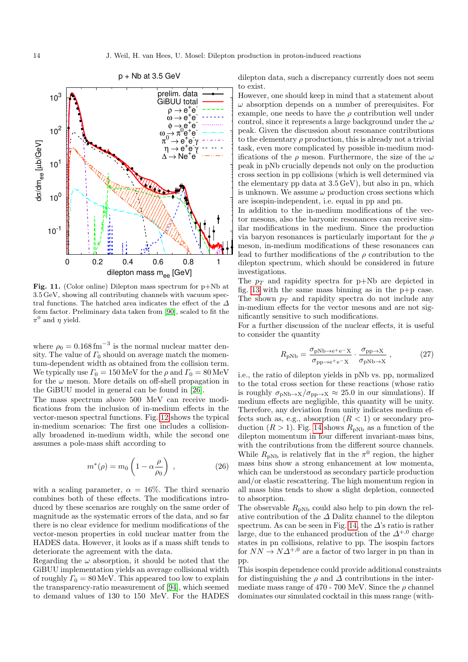

<span id="page-13-0"></span>Fig. 11. (Color online) Dilepton mass spectrum for p+Nb at 3.5 GeV, showing all contributing channels with vacuum spectral functions. The hatched area indicates the effect of the  $\varDelta$ form factor. Preliminary data taken from [\[90\]](#page-17-11), scaled to fit the  $\pi^0$  and  $\eta$  yield.

where  $\rho_0 = 0.168 \,\text{fm}^{-3}$  is the normal nuclear matter density. The value of  $\Gamma_0$  should on average match the momentum-dependent width as obtained from the collision term. We typically use  $\Gamma_0 = 150 \,\text{MeV}$  for the  $\rho$  and  $\Gamma_0 = 80 \,\text{MeV}$ for the  $\omega$  meson. More details on off-shell propagation in the GiBUU model in general can be found in [\[26\]](#page-16-9).

The mass spectrum above 500 MeV can receive modifications from the inclusion of in-medium effects in the vector-meson spectral functions. Fig. [12](#page-14-16) shows the typical in-medium scenarios: The first one includes a collisionally broadened in-medium width, while the second one assumes a pole-mass shift according to

$$
m^*(\rho) = m_0 \left( 1 - \alpha \frac{\rho}{\rho_0} \right) , \qquad (26)
$$

with a scaling parameter,  $\alpha = 16\%$ . The third scenario combines both of these effects. The modifications introduced by these scenarios are roughly on the same order of magnitude as the systematic errors of the data, and so far there is no clear evidence for medium modifications of the vector-meson properties in cold nuclear matter from the HADES data. However, it looks as if a mass shift tends to deteriorate the agreement with the data.

Regarding the  $\omega$  absorption, it should be noted that the GiBUU implementation yields an average collisional width of roughly  $\Gamma_0 = 80 \,\text{MeV}$ . This appeared too low to explain the transparency-ratio measurement of [\[94\]](#page-17-15), which seemed to demand values of 130 to 150 MeV. For the HADES dilepton data, such a discrepancy currently does not seem to exist.

However, one should keep in mind that a statement about  $\omega$  absorption depends on a number of prerequisites. For example, one needs to have the  $\rho$  contribution well under control, since it represents a large background under the  $\omega$ peak. Given the discussion about resonance contributions to the elementary  $\rho$  production, this is already not a trivial task, even more complicated by possible in-medium modifications of the  $\rho$  meson. Furthermore, the size of the  $\omega$ peak in pNb crucially depends not only on the production cross section in pp collisions (which is well determined via the elementary pp data at 3.5 GeV), but also in pn, which is unknown. We assume  $\omega$  production cross sections which are isospin-independent, i.e. equal in pp and pn.

In addition to the in-medium modifications of the vector mesons, also the baryonic resonances can receive similar modifications in the medium. Since the production via baryon resonances is particularly important for the  $\rho$ meson, in-medium modifications of these resonances can lead to further modifications of the  $\rho$  contribution to the dilepton spectrum, which should be considered in future investigations.

The  $p_T$  and rapidity spectra for p+Nb are depicted in fig. [13](#page-15-0) with the same mass binning as in the  $p+p$  case. The shown  $p_T$  and rapidity spectra do not include any in-medium effects for the vector mesons and are not significantly sensitive to such modifications.

For a further discussion of the nuclear effects, it is useful to consider the quantity

$$
R_{\rm pNb} = \frac{\sigma_{\rm pNb \to e^+e^-X}}{\sigma_{\rm pp \to e^+e^-X}} \cdot \frac{\sigma_{\rm pp \to X}}{\sigma_{\rm pNb \to X}} , \qquad (27)
$$

i.e., the ratio of dilepton yields in pNb vs. pp, normalized to the total cross section for these reactions (whose ratio is roughly  $\sigma_{\text{pNb}\to X}/\sigma_{\text{pp}\to X} \approx 25.0$  in our simulations). If medium effects are negligible, this quantity will be unity. Therefore, any deviation from unity indicates medium effects such as, e.g., absorption  $(R < 1)$  or secondary production  $(R > 1)$ . Fig. [14](#page-15-1) shows  $R_{\text{pNb}}$  as a function of the dilepton momentum in four different invariant-mass bins, with the contributions from the different source channels. While  $R_{\text{pNb}}$  is relatively flat in the  $\pi^0$  region, the higher mass bins show a strong enhancement at low momenta, which can be understood as secondary particle production and/or elastic rescattering. The high momentum region in all mass bins tends to show a slight depletion, connected to absorption.

The observable  $R_{pNb}$  could also help to pin down the relative contribution of the  $\Delta$  Dalitz channel to the dilepton spectrum. As can be seen in Fig. [14,](#page-15-1) the  $\Delta$ 's ratio is rather large, due to the enhanced production of the  $\Delta^{+,0}$  charge states in pn collisions, relative to pp. The isospin factors for  $NN \rightarrow N\Delta^{+,0}$  are a factor of two larger in pn than in pp.

This isospin dependence could provide additional constraints for distinguishing the  $\rho$  and  $\Delta$  contributions in the intermediate mass range of 470 - 700 MeV. Since the  $\rho$  channel dominates our simulated cocktail in this mass range (with-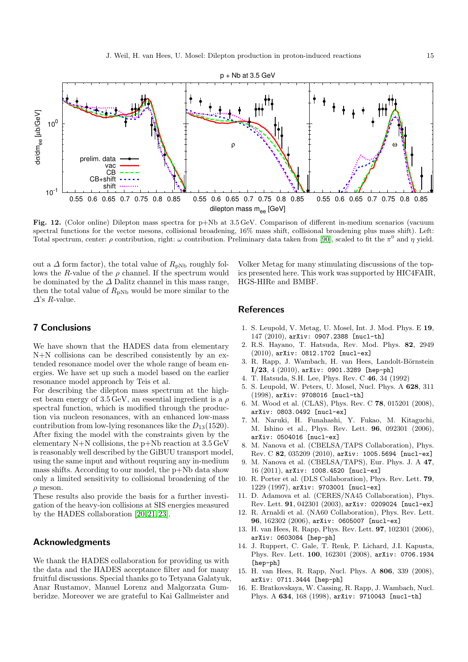

<span id="page-14-16"></span>Fig. 12. (Color online) Dilepton mass spectra for p+Nb at 3.5 GeV. Comparison of different in-medium scenarios (vacuum spectral functions for the vector mesons, collisional broadening, 16% mass shift, collisional broadening plus mass shift). Left: Total spectrum, center:  $\rho$  contribution, right:  $\omega$  contribution. Preliminary data taken from [\[90\]](#page-17-11), scaled to fit the  $\pi^0$  and  $\eta$  yield.

out a  $\Delta$  form factor), the total value of  $R_{\text{pNb}}$  roughly follows the R-value of the  $\rho$  channel. If the spectrum would be dominated by the  $\Delta$  Dalitz channel in this mass range, then the total value of  $R_{pNb}$  would be more similar to the  $\Delta$ 's R-value.

Volker Metag for many stimulating discussions of the topics presented here. This work was supported by HIC4FAIR, HGS-HIRe and BMBF.

## 7 Conclusions

We have shown that the HADES data from elementary N+N collisions can be described consistently by an extended resonance model over the whole range of beam energies. We have set up such a model based on the earlier resonance model approach by Teis et al.

For describing the dilepton mass spectrum at the highest beam energy of  $3.5 \,\text{GeV}$ , an essential ingredient is a  $\rho$ spectral function, which is modified through the production via nucleon resonances, with an enhanced low-mass contribution from low-lying resonances like the  $D_{13}(1520)$ . After fixing the model with the constraints given by the elementary  $N+N$  collisions, the p+Nb reaction at  $3.5 \,\text{GeV}$ is reasonably well described by the GiBUU transport model, using the same input and without requring any in-medium mass shifts. According to our model, the p+Nb data show only a limited sensitivity to collisional broadening of the  $\rho$  meson.

These results also provide the basis for a further investigation of the heavy-ion collisions at SIS energies measured by the HADES collaboration [\[20,](#page-16-3) [21,](#page-16-4) [23\]](#page-16-6).

## Acknowledgments

We thank the HADES collaboration for providing us with the data and the HADES acceptance filter and for many fruitful discussions. Special thanks go to Tetyana Galatyuk, Anar Rustamov, Manuel Lorenz and Malgorzata Gumberidze. Moreover we are grateful to Kai Gallmeister and

#### **References**

- <span id="page-14-0"></span>1. S. Leupold, V. Metag, U. Mosel, Int. J. Mod. Phys. E 19, 147 (2010), arXiv: 0907.2388 [nucl-th]
- <span id="page-14-1"></span>2. R.S. Hayano, T. Hatsuda, Rev. Mod. Phys. 82, 2949 (2010), arXiv: 0812.1702 [nucl-ex]
- <span id="page-14-2"></span>3. R. Rapp, J. Wambach, H. van Hees, Landolt-Börnstein I/23, 4 (2010), arXiv: 0901.3289 [hep-ph]
- <span id="page-14-3"></span>4. T. Hatsuda, S.H. Lee, Phys. Rev. C 46, 34 (1992)
- <span id="page-14-4"></span>5. S. Leupold, W. Peters, U. Mosel, Nucl. Phys. A 628, 311 (1998), arXiv: 9708016 [nucl-th]
- <span id="page-14-5"></span>6. M. Wood et al. (CLAS), Phys. Rev. C 78, 015201 (2008), arXiv: 0803.0492 [nucl-ex]
- <span id="page-14-6"></span>7. M. Naruki, H. Funahashi, Y. Fukao, M. Kitaguchi, M. Ishino et al., Phys. Rev. Lett. 96, 092301 (2006), arXiv: 0504016 [nucl-ex]
- <span id="page-14-7"></span>8. M. Nanova et al. (CBELSA/TAPS Collaboration), Phys. Rev. C 82, 035209 (2010), arXiv: 1005.5694 [nucl-ex]
- <span id="page-14-8"></span>9. M. Nanova et al. (CBELSA/TAPS), Eur. Phys. J. A 47, 16 (2011), arXiv: 1008.4520 [nucl-ex]
- <span id="page-14-9"></span>10. R. Porter et al. (DLS Collaboration), Phys. Rev. Lett. 79, 1229 (1997), arXiv: 9703001 [nucl-ex]
- <span id="page-14-10"></span>11. D. Adamova et al. (CERES/NA45 Collaboration), Phys. Rev. Lett. 91, 042301 (2003), arXiv: 0209024 [nucl-ex]
- <span id="page-14-11"></span>12. R. Arnaldi et al. (NA60 Collaboration), Phys. Rev. Lett. 96, 162302 (2006), arXiv: 0605007 [nucl-ex]
- <span id="page-14-12"></span>13. H. van Hees, R. Rapp, Phys. Rev. Lett. 97, 102301 (2006), arXiv: 0603084 [hep-ph]
- <span id="page-14-13"></span>14. J. Ruppert, C. Gale, T. Renk, P. Lichard, J.I. Kapusta, Phys. Rev. Lett. 100, 162301 (2008), arXiv: 0706.1934 [hep-ph]
- <span id="page-14-14"></span>15. H. van Hees, R. Rapp, Nucl. Phys. A 806, 339 (2008), arXiv: 0711.3444 [hep-ph]
- <span id="page-14-15"></span>16. E. Bratkovskaya, W. Cassing, R. Rapp, J. Wambach, Nucl. Phys. A 634, 168 (1998), arXiv: 9710043 [nucl-th]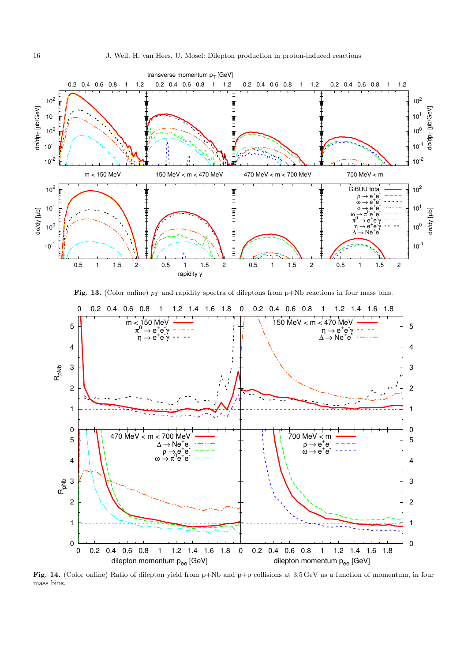

<span id="page-15-0"></span>Fig. 13. (Color online)  $p_T$  and rapidity spectra of dileptons from p+Nb reactions in four mass bins.



<span id="page-15-1"></span>Fig. 14. (Color online) Ratio of dilepton yield from p+Nb and p+p collisions at 3.5 GeV as a function of momentum, in four mass bins.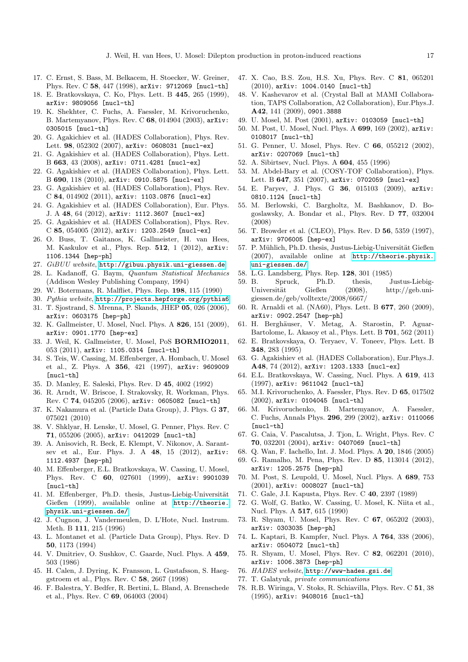- <span id="page-16-0"></span>17. C. Ernst, S. Bass, M. Belkacem, H. Stoecker, W. Greiner, Phys. Rev. C 58, 447 (1998), arXiv: 9712069 [nucl-th]
- <span id="page-16-1"></span>18. E. Bratkovskaya, C. Ko, Phys. Lett. B 445, 265 (1999), arXiv: 9809056 [nucl-th]
- <span id="page-16-2"></span>19. K. Shekhter, C. Fuchs, A. Faessler, M. Krivoruchenko, B. Martemyanov, Phys. Rev. C 68, 014904 (2003), arXiv: 0305015 [nucl-th]
- <span id="page-16-3"></span>20. G. Agakichiev et al. (HADES Collaboration), Phys. Rev. Lett. 98, 052302 (2007), arXiv: 0608031 [nucl-ex]
- <span id="page-16-4"></span>21. G. Agakishiev et al. (HADES Collaboration), Phys. Lett. B 663, 43 (2008), arXiv: 0711.4281 [nucl-ex]
- <span id="page-16-5"></span>22. G. Agakishiev et al. (HADES Collaboration), Phys. Lett. B 690, 118 (2010), arXiv: 0910.5875 [nucl-ex]
- <span id="page-16-6"></span>23. G. Agakishiev et al. (HADES Collaboration), Phys. Rev. C 84, 014902 (2011), arXiv: 1103.0876 [nucl-ex]
- <span id="page-16-7"></span>24. G. Agakishiev et al. (HADES Collaboration), Eur. Phys. J. A 48, 64 (2012), arXiv: 1112.3607 [nucl-ex]
- <span id="page-16-8"></span>25. G. Agakishiev et al. (HADES Collaboration), Phys. Rev. C 85, 054005 (2012), arXiv: 1203.2549 [nucl-ex]
- <span id="page-16-9"></span>26. O. Buss, T. Gaitanos, K. Gallmeister, H. van Hees, M. Kaskulov et al., Phys. Rep. 512, 1 (2012), arXiv: 1106.1344 [hep-ph]
- <span id="page-16-10"></span>27. GiBUU website, <http://gibuu.physik.uni-giessen.de>
- <span id="page-16-11"></span>28. L. Kadanoff, G. Baym, Quantum Statistical Mechanics
- (Addison Wesley Publishing Company, 1994)
- <span id="page-16-12"></span>29. W. Botermans, R. Malfliet, Phys. Rep. 198, 115 (1990)
- <span id="page-16-14"></span><span id="page-16-13"></span>30. Pythia website, <http://projects.hepforge.org/pythia6> 31. T. Sjostrand, S. Mrenna, P. Skands, JHEP 05, 026 (2006), arXiv: 0603175 [hep-ph]
- <span id="page-16-15"></span>32. K. Gallmeister, U. Mosel, Nucl. Phys. A 826, 151 (2009), arXiv: 0901.1770 [hep-ex]
- <span id="page-16-16"></span>33. J. Weil, K. Gallmeister, U. Mosel, PoS BORMIO2011, 053 (2011), arXiv: 1105.0314 [nucl-th]
- <span id="page-16-17"></span>34. S. Teis, W. Cassing, M. Effenberger, A. Hombach, U. Mosel et al., Z. Phys. A 356, 421 (1997), arXiv: 9609009 [nucl-th]
- <span id="page-16-18"></span>35. D. Manley, E. Saleski, Phys. Rev. D 45, 4002 (1992)
- <span id="page-16-19"></span>36. R. Arndt, W. Briscoe, I. Strakovsky, R. Workman, Phys. Rev. C 74, 045205 (2006), arXiv: 0605082 [nucl-th]
- <span id="page-16-20"></span>37. K. Nakamura et al. (Particle Data Group), J. Phys. G 37, 075021 (2010)
- <span id="page-16-21"></span>38. V. Shklyar, H. Lenske, U. Mosel, G. Penner, Phys. Rev. C 71, 055206 (2005), arXiv: 0412029 [nucl-th]
- <span id="page-16-22"></span>39. A. Anisovich, R. Beck, E. Klempt, V. Nikonov, A. Sarantsev et al., Eur. Phys. J. A 48, 15 (2012), arXiv: 1112.4937 [hep-ph]
- <span id="page-16-23"></span>40. M. Effenberger, E.L. Bratkovskaya, W. Cassing, U. Mosel, Phys. Rev. C 60, 027601 (1999), arXiv: 9901039 [nucl-th]
- <span id="page-16-24"></span>41. M. Effenberger, Ph.D. thesis, Justus-Liebig-Universität Gießen (1999), available online at [http://theorie.](http://theorie.physik.uni-giessen.de/) [physik.uni-giessen.de/](http://theorie.physik.uni-giessen.de/)
- <span id="page-16-25"></span>42. J. Cugnon, J. Vandermeulen, D. L'Hote, Nucl. Instrum. Meth. B 111, 215 (1996)
- <span id="page-16-26"></span>43. L. Montanet et al. (Particle Data Group), Phys. Rev. D 50, 1173 (1994)
- <span id="page-16-27"></span>44. V. Dmitriev, O. Sushkov, C. Gaarde, Nucl. Phys. A 459, 503 (1986)
- <span id="page-16-28"></span>45. H. Calen, J. Dyring, K. Fransson, L. Gustafsson, S. Haeggstroem et al., Phys. Rev. C 58, 2667 (1998)
- <span id="page-16-29"></span>46. F. Balestra, Y. Bedfer, R. Bertini, L. Bland, A. Brenschede et al., Phys. Rev. C 69, 064003 (2004)
- <span id="page-16-30"></span>47. X. Cao, B.S. Zou, H.S. Xu, Phys. Rev. C 81, 065201 (2010), arXiv: 1004.0140 [nucl-th]
- <span id="page-16-31"></span>48. V. Kashevarov et al. (Crystal Ball at MAMI Collaboration, TAPS Collaboration, A2 Collaboration), Eur.Phys.J. A42, 141 (2009), 0901.3888
- <span id="page-16-32"></span>49. U. Mosel, M. Post (2001), arXiv: 0103059 [nucl-th]
- <span id="page-16-33"></span>50. M. Post, U. Mosel, Nucl. Phys. A 699, 169 (2002), arXiv: 0108017 [nucl-th]
- <span id="page-16-34"></span>51. G. Penner, U. Mosel, Phys. Rev. C 66, 055212 (2002), arXiv: 0207069 [nucl-th]
- <span id="page-16-35"></span>52. A. Sibirtsev, Nucl. Phys. A 604, 455 (1996)
- <span id="page-16-36"></span>53. M. Abdel-Bary et al. (COSY-TOF Collaboration), Phys. Lett. B 647, 351 (2007), arXiv: 0702059 [nucl-ex]
- <span id="page-16-37"></span>54. E. Paryev, J. Phys. G 36, 015103 (2009), arXiv: 0810.1124 [nucl-th]
- <span id="page-16-38"></span>55. M. Berlowski, C. Bargholtz, M. Bashkanov, D. Bogoslawsky, A. Bondar et al., Phys. Rev. D 77, 032004 (2008)
- <span id="page-16-39"></span>56. T. Browder et al. (CLEO), Phys. Rev. D 56, 5359 (1997), arXiv: 9706005 [hep-ex]
- <span id="page-16-40"></span>57. P. Mühlich, Ph.D. thesis, Justus-Liebig-Universität Gießen (2007), available online at [http://theorie.physik.](http://theorie.physik.uni-giessen.de/) [uni-giessen.de/](http://theorie.physik.uni-giessen.de/)
- <span id="page-16-41"></span>58. L.G. Landsberg, Phys. Rep. 128, 301 (1985)
- <span id="page-16-42"></span>59. B. Spruck, Ph.D. thesis, Justus-Liebig-Universität Gießen (2008), http://geb.unigiessen.de/geb/volltexte/2008/6667/
- <span id="page-16-43"></span>60. R. Arnaldi et al. (NA60), Phys. Lett. B 677, 260 (2009), arXiv: 0902.2547 [hep-ph]
- <span id="page-16-44"></span>61. H. Berghäuser, V. Metag, A. Starostin, P. Aguar-Bartolome, L. Akasoy et al., Phys. Lett. B 701, 562 (2011)
- <span id="page-16-45"></span>62. E. Bratkovskaya, O. Teryaev, V. Toneev, Phys. Lett. B 348, 283 (1995)
- <span id="page-16-46"></span>63. G. Agakishiev et al. (HADES Collaboration), Eur.Phys.J. A48, 74 (2012), arXiv: 1203.1333 [nucl-ex]
- <span id="page-16-47"></span>64. E.L. Bratkovskaya, W. Cassing, Nucl. Phys. A 619, 413 (1997), arXiv: 9611042 [nucl-th]
- <span id="page-16-48"></span>65. M.I. Krivoruchenko, A. Faessler, Phys. Rev. D 65, 017502 (2002), arXiv: 0104045 [nucl-th]
- <span id="page-16-49"></span>66. M. Krivoruchenko, B. Martemyanov, A. Faessler, C. Fuchs, Annals Phys. 296, 299 (2002), arXiv: 0110066 [nucl-th]
- <span id="page-16-50"></span>67. G. Caia, V. Pascalutsa, J. Tjon, L. Wright, Phys. Rev. C 70, 032201 (2004), arXiv: 0407069 [nucl-th]
- <span id="page-16-51"></span>68. Q. Wan, F. Iachello, Int. J. Mod. Phys. A 20, 1846 (2005)
- <span id="page-16-52"></span>69. G. Ramalho, M. Pena, Phys. Rev. D 85, 113014 (2012), arXiv: 1205.2575 [hep-ph]
- <span id="page-16-53"></span>70. M. Post, S. Leupold, U. Mosel, Nucl. Phys. A 689, 753 (2001), arXiv: 0008027 [nucl-th]
- <span id="page-16-54"></span>71. C. Gale, J.I. Kapusta, Phys. Rev. C 40, 2397 (1989)
- <span id="page-16-55"></span>72. G. Wolf, G. Batko, W. Cassing, U. Mosel, K. Niita et al., Nucl. Phys. A 517, 615 (1990)
- <span id="page-16-56"></span>73. R. Shyam, U. Mosel, Phys. Rev. C 67, 065202 (2003), arXiv: 0303035 [hep-ph]
- <span id="page-16-57"></span>74. L. Kaptari, B. Kampfer, Nucl. Phys. A 764, 338 (2006), arXiv: 0504072 [nucl-th]
- <span id="page-16-58"></span>75. R. Shyam, U. Mosel, Phys. Rev. C 82, 062201 (2010), arXiv: 1006.3873 [hep-ph]
- <span id="page-16-59"></span>76. HADES website, <http://www-hades.gsi.de>
- <span id="page-16-60"></span>77. T. Galatyuk, private communications
- <span id="page-16-61"></span>78. R.B. Wiringa, V. Stoks, R. Schiavilla, Phys. Rev. C 51, 38 (1995), arXiv: 9408016 [nucl-th]